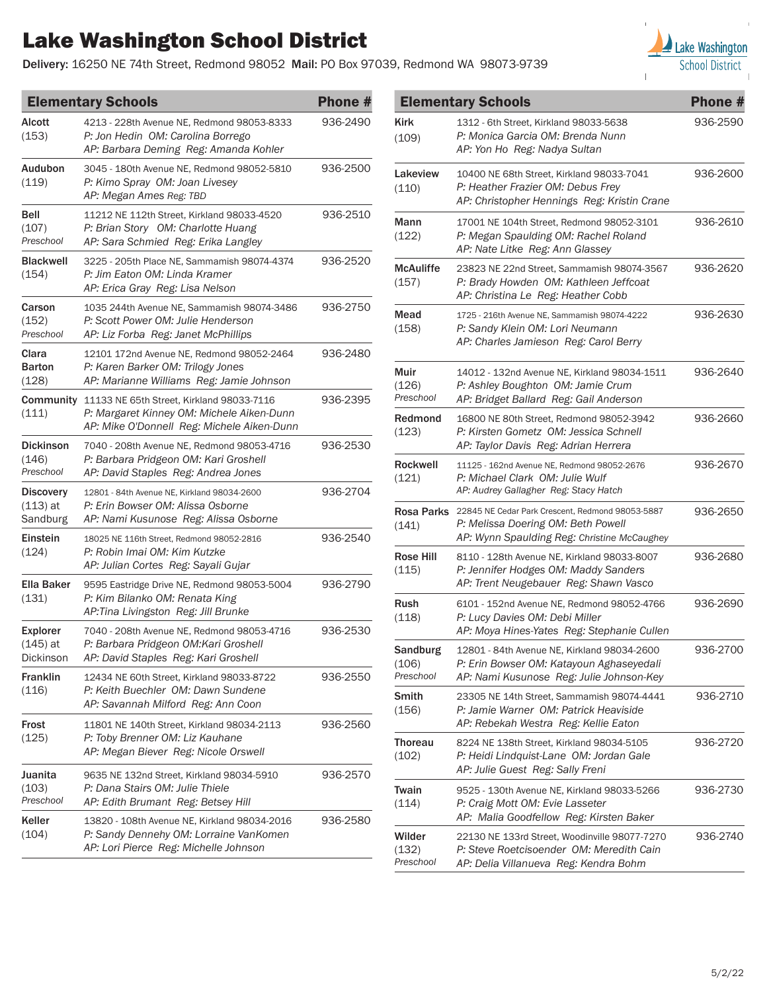## Lake Washington School District

Delivery: 16250 NE 74th Street, Redmond 98052 Mail: PO Box 97039, Redmond WA 98073-9739



| <b>Elementary Schools</b>                  |                                                                                                                                      | Phone #  |
|--------------------------------------------|--------------------------------------------------------------------------------------------------------------------------------------|----------|
| Alcott<br>(153)                            | 4213 - 228th Avenue NE, Redmond 98053-8333<br>P: Jon Hedin OM: Carolina Borrego<br>AP: Barbara Deming Reg: Amanda Kohler             | 936-2490 |
| Audubon<br>(119)                           | 3045 - 180th Avenue NE, Redmond 98052-5810<br>P: Kimo Spray OM: Joan Livesey<br>AP: Megan Ames Reg: TBD                              | 936-2500 |
| <b>Bell</b><br>(107)<br>Preschool          | 11212 NE 112th Street, Kirkland 98033-4520<br>P: Brian Story OM: Charlotte Huang<br>AP: Sara Schmied Reg: Erika Langley              | 936-2510 |
| <b>Blackwell</b><br>(154)                  | 3225 - 205th Place NE, Sammamish 98074-4374<br>P: Jim Eaton OM: Linda Kramer<br>AP: Erica Gray Reg: Lisa Nelson                      | 936-2520 |
| Carson<br>(152)<br>Preschool               | 1035 244th Avenue NE, Sammamish 98074-3486<br>P: Scott Power OM: Julie Henderson<br>AP: Liz Forba Reg: Janet McPhillips              | 936-2750 |
| Clara<br><b>Barton</b><br>(128)            | 12101 172nd Avenue NE, Redmond 98052-2464<br>P: Karen Barker OM: Trilogy Jones<br>AP: Marianne Williams Reg: Jamie Johnson           | 936-2480 |
| Community<br>(111)                         | 11133 NE 65th Street, Kirkland 98033-7116<br>P: Margaret Kinney OM: Michele Aiken-Dunn<br>AP: Mike O'Donnell Reg: Michele Aiken-Dunn | 936-2395 |
| <b>Dickinson</b><br>(146)<br>Preschool     | 7040 - 208th Avenue NE, Redmond 98053-4716<br>P: Barbara Pridgeon OM: Kari Groshell<br>AP: David Staples Reg: Andrea Jones           | 936-2530 |
| <b>Discovery</b><br>$(113)$ at<br>Sandburg | 12801 - 84th Avenue NE, Kirkland 98034-2600<br>P. Erin Bowser OM: Alissa Osborne<br>AP: Nami Kusunose Reg: Alissa Osborne            | 936-2704 |
| Einstein<br>(124)                          | 18025 NE 116th Street, Redmond 98052-2816<br>P. Robin Imai OM: Kim Kutzke<br>AP: Julian Cortes Reg: Sayali Gujar                     | 936-2540 |
| <b>Ella Baker</b><br>(131)                 | 9595 Eastridge Drive NE, Redmond 98053-5004<br>P: Kim Bilanko OM: Renata King<br>AP:Tina Livingston Reg: Jill Brunke                 | 936-2790 |
| <b>Explorer</b><br>$(145)$ at<br>Dickinson | 7040 - 208th Avenue NE, Redmond 98053-4716<br>P: Barbara Pridgeon OM: Kari Groshell<br>AP: David Staples Reg: Kari Groshell          | 936-2530 |
| <b>Franklin</b><br>(116)                   | 12434 NE 60th Street, Kirkland 98033-8722<br>P: Keith Buechler OM: Dawn Sundene<br>AP: Savannah Milford Reg: Ann Coon                | 936-2550 |
| Frost<br>(125)                             | 11801 NE 140th Street, Kirkland 98034-2113<br>P: Toby Brenner OM: Liz Kauhane<br>AP: Megan Biever Reg: Nicole Orswell                | 936-2560 |
| Juanita<br>(103)<br>Preschool              | 9635 NE 132nd Street, Kirkland 98034-5910<br>P: Dana Stairs OM: Julie Thiele<br>AP: Edith Brumant Reg: Betsey Hill                   | 936-2570 |
| Keller<br>(104)                            | 13820 - 108th Avenue NE, Kirkland 98034-2016<br>P: Sandy Dennehy OM: Lorraine VanKomen<br>AP: Lori Pierce Reg: Michelle Johnson      | 936-2580 |

| <b>Elementary Schools</b>             |                                                                                                                                       | Phone #  |
|---------------------------------------|---------------------------------------------------------------------------------------------------------------------------------------|----------|
| Kirk<br>(109)                         | 1312 - 6th Street, Kirkland 98033-5638<br>P: Monica Garcia OM: Brenda Nunn<br>AP: Yon Ho Reg: Nadya Sultan                            | 936-2590 |
| Lakeview<br>(110)                     | 10400 NE 68th Street, Kirkland 98033-7041<br>P: Heather Frazier OM: Debus Frey<br>AP: Christopher Hennings Reg: Kristin Crane         | 936-2600 |
| Mann<br>(122)                         | 17001 NE 104th Street, Redmond 98052-3101<br>P: Megan Spaulding OM: Rachel Roland<br>AP: Nate Litke Reg: Ann Glassey                  | 936-2610 |
| <b>McAuliffe</b><br>(157)             | 23823 NE 22nd Street, Sammamish 98074-3567<br>P: Brady Howden OM: Kathleen Jeffcoat<br>AP: Christina Le Reg: Heather Cobb             | 936-2620 |
| Mead<br>(158)                         | 1725 - 216th Avenue NE, Sammamish 98074-4222<br>P: Sandy Klein OM: Lori Neumann<br>AP: Charles Jamieson Reg: Carol Berry              | 936-2630 |
| Muir<br>(126)<br>Preschool            | 14012 - 132nd Avenue NE, Kirkland 98034-1511<br>P: Ashley Boughton OM: Jamie Crum<br>AP: Bridget Ballard Reg: Gail Anderson           | 936-2640 |
| Redmond<br>(123)                      | 16800 NE 80th Street. Redmond 98052-3942<br>P: Kirsten Gometz OM: Jessica Schnell<br>AP: Taylor Davis Reg: Adrian Herrera             | 936-2660 |
| <b>Rockwell</b><br>(121)              | 11125 - 162nd Avenue NE, Redmond 98052-2676<br>P. Michael Clark OM: Julie Wulf<br>AP: Audrey Gallagher Reg: Stacy Hatch               | 936-2670 |
| Rosa Parks<br>(141)                   | 22845 NE Cedar Park Crescent, Redmond 98053-5887<br>P: Melissa Doering OM: Beth Powell<br>AP: Wynn Spaulding Reg: Christine McCaughey | 936-2650 |
| Rose Hill<br>(115)                    | 8110 - 128th Avenue NE, Kirkland 98033-8007<br>P: Jennifer Hodges OM: Maddy Sanders<br>AP: Trent Neugebauer Reg: Shawn Vasco          | 936-2680 |
| <b>Rush</b><br>(118)                  | 6101 - 152nd Avenue NE, Redmond 98052-4766<br>P: Lucy Davies OM: Debi Miller<br>AP: Moya Hines-Yates Reg: Stephanie Cullen            | 936-2690 |
| <b>Sandburg</b><br>(106)<br>Preschool | 12801 - 84th Avenue NE, Kirkland 98034-2600<br>P: Erin Bowser OM: Katayoun Aghaseyedali<br>AP: Nami Kusunose Reg: Julie Johnson-Key   | 936-2700 |
| Smith<br>(156)                        | 23305 NE 14th Street, Sammamish 98074-4441<br>P: Jamie Warner OM: Patrick Heaviside<br>AP: Rebekah Westra Reg: Kellie Eaton           | 936-2710 |
| Thoreau<br>(102)                      | 8224 NE 138th Street, Kirkland 98034-5105<br>P: Heidi Lindquist-Lane OM: Jordan Gale<br>AP: Julie Guest Reg: Sally Freni              | 936-2720 |
| Twain<br>(114)                        | 9525 - 130th Avenue NE, Kirkland 98033-5266<br>P: Craig Mott OM: Evie Lasseter<br>AP: Malia Goodfellow Reg: Kirsten Baker             | 936-2730 |
| Wilder<br>(132)<br>Preschool          | 22130 NE 133rd Street, Woodinville 98077-7270<br>P: Steve Roetcisoender OM: Meredith Cain<br>AP: Delia Villanueva Reg: Kendra Bohm    | 936-2740 |